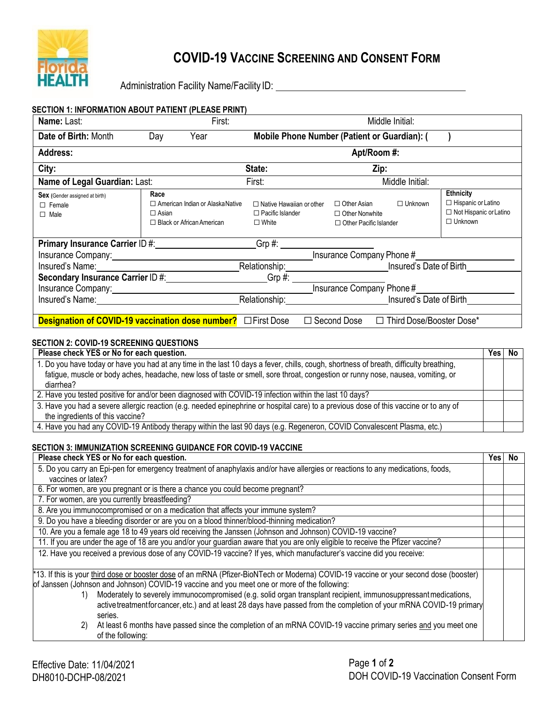

## **COVID-19 VACCINE SCREENING AND CONSENT FORM**

Administration Facility Name/Facility ID: \\connection \\connection Facility Name/Facility ID:

| <b>SECTION 1: INFORMATION ABOUT PATIENT (PLEASE PRINT)</b>                                                                                                                                                                     |                                                                                                     |                                                                               |                                                                              |                 |                                                                                                  |  |
|--------------------------------------------------------------------------------------------------------------------------------------------------------------------------------------------------------------------------------|-----------------------------------------------------------------------------------------------------|-------------------------------------------------------------------------------|------------------------------------------------------------------------------|-----------------|--------------------------------------------------------------------------------------------------|--|
| Name: Last:                                                                                                                                                                                                                    | First:                                                                                              |                                                                               |                                                                              | Middle Initial: |                                                                                                  |  |
| Date of Birth: Month                                                                                                                                                                                                           | Day<br>Year                                                                                         | Mobile Phone Number (Patient or Guardian): (                                  |                                                                              |                 |                                                                                                  |  |
| <b>Address:</b>                                                                                                                                                                                                                |                                                                                                     |                                                                               | Apt/Room #:                                                                  |                 |                                                                                                  |  |
| City:                                                                                                                                                                                                                          |                                                                                                     | State:                                                                        | Zip:                                                                         |                 |                                                                                                  |  |
| Name of Legal Guardian: Last:                                                                                                                                                                                                  |                                                                                                     | First:                                                                        |                                                                              | Middle Initial: |                                                                                                  |  |
| <b>Sex</b> (Gender assigned at birth)<br>$\Box$ Female<br>$\Box$ Male                                                                                                                                                          | Race<br>$\Box$ American Indian or Alaska Native<br>$\Box$ Asian<br>$\Box$ Black or African American | $\Box$ Native Hawaiian or other<br>$\Box$ Pacific Islander<br>$\square$ White | $\Box$ Other Asian<br>$\Box$ Other Nonwhite<br>$\Box$ Other Pacific Islander | $\Box$ Unknown  | <b>Ethnicity</b><br>$\Box$ Hispanic or Latino<br>$\Box$ Not Hispanic or Latino<br>$\Box$ Unknown |  |
| Primary Insurance Carrier ID #:                                                                                                                                                                                                |                                                                                                     | $Grp \#:$                                                                     |                                                                              |                 |                                                                                                  |  |
|                                                                                                                                                                                                                                | Insurance Company Phone #<br>Insurance Company: 1990 1991 1992 1994                                 |                                                                               |                                                                              |                 |                                                                                                  |  |
| Insured's Name: Name: Name of the Second Second Second Second Second Second Second Second Second Second Second Second Second Second Second Second Second Second Second Second Second Second Second Second Second Second Second |                                                                                                     | Relationship: Insured's Date of Birth                                         |                                                                              |                 |                                                                                                  |  |
| Grp #: ___________________                                                                                                                                                                                                     |                                                                                                     |                                                                               |                                                                              |                 |                                                                                                  |  |
|                                                                                                                                                                                                                                | Insurance Company Phone #<br>Insurance Company: 1990 March 2008 March 2010 March 2010               |                                                                               |                                                                              |                 |                                                                                                  |  |
|                                                                                                                                                                                                                                |                                                                                                     | Relationship: Insured's Date of Birth                                         |                                                                              |                 |                                                                                                  |  |
| □ Third Dose/Booster Dose*<br><b>Designation of COVID-19 vaccination dose number?</b> $\Box$ First Dose<br>$\Box$ Second Dose                                                                                                  |                                                                                                     |                                                                               |                                                                              |                 |                                                                                                  |  |

## **SECTION 2: COVID-19 SCREENING QUESTIONS**

| Please check YES or No for each question.                                                                                                                                                                                                                                   | Yes l | No |
|-----------------------------------------------------------------------------------------------------------------------------------------------------------------------------------------------------------------------------------------------------------------------------|-------|----|
| 1. Do you have today or have you had at any time in the last 10 days a fever, chills, cough, shortness of breath, difficulty breathing,<br>fatigue, muscle or body aches, headache, new loss of taste or smell, sore throat, congestion or runny nose, nausea, vomiting, or |       |    |
| diarrhea?                                                                                                                                                                                                                                                                   |       |    |
| 2. Have you tested positive for and/or been diagnosed with COVID-19 infection within the last 10 days?                                                                                                                                                                      |       |    |
| 3. Have you had a severe allergic reaction (e.g. needed epinephrine or hospital care) to a previous dose of this vaccine or to any of<br>the ingredients of this vaccine?                                                                                                   |       |    |
| 4. Have you had any COVID-19 Antibody therapy within the last 90 days (e.g. Regeneron, COVID Convalescent Plasma, etc.)                                                                                                                                                     |       |    |

## **SECTION 3: IMMUNIZATION SCREENING GUIDANCE FOR COVID-19 VACCINE**

| Please check YES or No for each question.                                                                                              | Yes | No |
|----------------------------------------------------------------------------------------------------------------------------------------|-----|----|
| 5. Do you carry an Epi-pen for emergency treatment of anaphylaxis and/or have allergies or reactions to any medications, foods,        |     |    |
| vaccines or latex?                                                                                                                     |     |    |
| 6. For women, are you pregnant or is there a chance you could become pregnant?                                                         |     |    |
| 7. For women, are you currently breastfeeding?                                                                                         |     |    |
| 8. Are you immunocompromised or on a medication that affects your immune system?                                                       |     |    |
| 9. Do you have a bleeding disorder or are you on a blood thinner/blood-thinning medication?                                            |     |    |
| 10. Are you a female age 18 to 49 years old receiving the Janssen (Johnson and Johnson) COVID-19 vaccine?                              |     |    |
| 11. If you are under the age of 18 are you and/or your guardian aware that you are only eligible to receive the Pfizer vaccine?        |     |    |
| 12. Have you received a previous dose of any COVID-19 vaccine? If yes, which manufacturer's vaccine did you receive:                   |     |    |
|                                                                                                                                        |     |    |
| *13. If this is your third dose or booster dose of an mRNA (Pfizer-BioNTech or Moderna) COVID-19 vaccine or your second dose (booster) |     |    |
| of Janssen (Johnson and Johnson) COVID-19 vaccine and you meet one or more of the following:                                           |     |    |
| Moderately to severely immunocompromised (e.g. solid organ transplant recipient, immunosuppressant medications,<br>1)                  |     |    |
| active treatment for cancer, etc.) and at least 28 days have passed from the completion of your mRNA COVID-19 primary                  |     |    |
| series.                                                                                                                                |     |    |
| At least 6 months have passed since the completion of an mRNA COVID-19 vaccine primary series and you meet one<br>2)                   |     |    |
| of the following:                                                                                                                      |     |    |